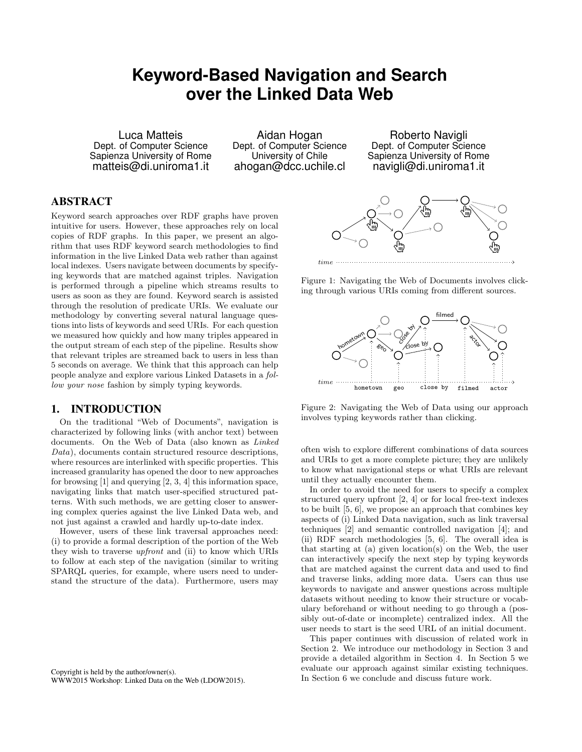# **Keyword-Based Navigation and Search over the Linked Data Web**

Luca Matteis Dept. of Computer Science Sapienza University of Rome matteis@di.uniroma1.it

Aidan Hogan Dept. of Computer Science University of Chile ahogan@dcc.uchile.cl

Roberto Navigli Dept. of Computer Science Sapienza University of Rome navigli@di.uniroma1.it

## ABSTRACT

Keyword search approaches over RDF graphs have proven intuitive for users. However, these approaches rely on local copies of RDF graphs. In this paper, we present an algorithm that uses RDF keyword search methodologies to find information in the live Linked Data web rather than against local indexes. Users navigate between documents by specifying keywords that are matched against triples. Navigation is performed through a pipeline which streams results to users as soon as they are found. Keyword search is assisted through the resolution of predicate URIs. We evaluate our methodology by converting several natural language questions into lists of keywords and seed URIs. For each question we measured how quickly and how many triples appeared in the output stream of each step of the pipeline. Results show that relevant triples are streamed back to users in less than 5 seconds on average. We think that this approach can help people analyze and explore various Linked Datasets in a follow your nose fashion by simply typing keywords.

#### 1. INTRODUCTION

On the traditional "Web of Documents", navigation is characterized by following links (with anchor text) between documents. On the Web of Data (also known as Linked Data), documents contain structured resource descriptions, where resources are interlinked with specific properties. This increased granularity has opened the door to new approaches for browsing [\[1\]](#page-4-0) and querying [\[2,](#page-4-1) [3,](#page-4-2) [4\]](#page-4-3) this information space, navigating links that match user-specified structured patterns. With such methods, we are getting closer to answering complex queries against the live Linked Data web, and not just against a crawled and hardly up-to-date index.

However, users of these link traversal approaches need: (i) to provide a formal description of the portion of the Web they wish to traverse upfront and (ii) to know which URIs to follow at each step of the navigation (similar to writing SPARQL queries, for example, where users need to understand the structure of the data). Furthermore, users may

<span id="page-0-0"></span>

Figure 1: Navigating the Web of Documents involves clicking through various URIs coming from different sources.

<span id="page-0-1"></span>

Figure 2: Navigating the Web of Data using our approach involves typing keywords rather than clicking.

often wish to explore different combinations of data sources and URIs to get a more complete picture; they are unlikely to know what navigational steps or what URIs are relevant until they actually encounter them.

In order to avoid the need for users to specify a complex structured query upfront [\[2,](#page-4-1) [4\]](#page-4-3) or for local free-text indexes to be built [\[5,](#page-4-4) [6\]](#page-4-5), we propose an approach that combines key aspects of (i) Linked Data navigation, such as link traversal techniques [\[2\]](#page-4-1) and semantic controlled navigation [\[4\]](#page-4-3); and (ii) RDF search methodologies [\[5,](#page-4-4) [6\]](#page-4-5). The overall idea is that starting at (a) given location(s) on the Web, the user can interactively specify the next step by typing keywords that are matched against the current data and used to find and traverse links, adding more data. Users can thus use keywords to navigate and answer questions across multiple datasets without needing to know their structure or vocabulary beforehand or without needing to go through a (possibly out-of-date or incomplete) centralized index. All the user needs to start is the seed URL of an initial document.

This paper continues with discussion of related work in Section [2.](#page-1-0) We introduce our methodology in Section [3](#page-1-1) and provide a detailed algorithm in Section [4.](#page-2-0) In Section [5](#page-3-0) we evaluate our approach against similar existing techniques. In Section [6](#page-4-6) we conclude and discuss future work.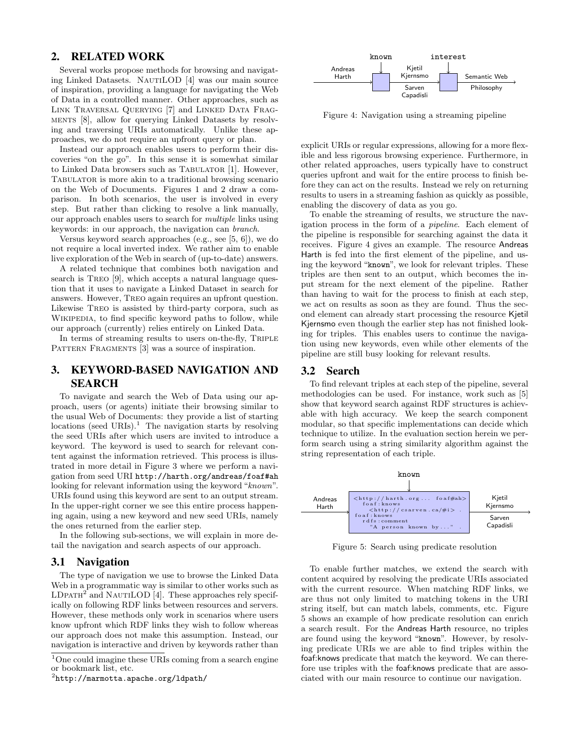### <span id="page-1-0"></span>2. RELATED WORK

Several works propose methods for browsing and navigating Linked Datasets. NautiLOD [\[4\]](#page-4-3) was our main source of inspiration, providing a language for navigating the Web of Data in a controlled manner. Other approaches, such as Link Traversal Querying [\[7\]](#page-4-7) and Linked Data Fragments [\[8\]](#page-4-8), allow for querying Linked Datasets by resolving and traversing URIs automatically. Unlike these approaches, we do not require an upfront query or plan.

Instead our approach enables users to perform their discoveries "on the go". In this sense it is somewhat similar to Linked Data browsers such as TABULATOR [\[1\]](#page-4-0). However, TABULATOR is more akin to a traditional browsing scenario on the Web of Documents. Figures [1](#page-0-0) and [2](#page-0-1) draw a comparison. In both scenarios, the user is involved in every step. But rather than clicking to resolve a link manually, our approach enables users to search for multiple links using keywords: in our approach, the navigation can branch.

Versus keyword search approaches (e.g., see [\[5,](#page-4-4) [6\]](#page-4-5)), we do not require a local inverted index. We rather aim to enable live exploration of the Web in search of (up-to-date) answers.

A related technique that combines both navigation and search is TREO [\[9\]](#page-4-9), which accepts a natural language question that it uses to navigate a Linked Dataset in search for answers. However, Treo again requires an upfront question. Likewise Treo is assisted by third-party corpora, such as WIKIPEDIA, to find specific keyword paths to follow, while our approach (currently) relies entirely on Linked Data.

In terms of streaming results to users on-the-fly, TRIPLE PATTERN FRAGMENTS [\[3\]](#page-4-2) was a source of inspiration.

## <span id="page-1-1"></span>3. KEYWORD-BASED NAVIGATION AND SEARCH

To navigate and search the Web of Data using our approach, users (or agents) initiate their browsing similar to the usual Web of Documents: they provide a list of starting locations (seed URIs).<sup>[1](#page-1-2)</sup> The navigation starts by resolving the seed URIs after which users are invited to introduce a keyword. The keyword is used to search for relevant content against the information retrieved. This process is illustrated in more detail in Figure [3](#page-2-1) where we perform a navigation from seed URI <http://harth.org/andreas/foaf#ah> looking for relevant information using the keyword "known". URIs found using this keyword are sent to an output stream. In the upper-right corner we see this entire process happening again, using a new keyword and new seed URIs, namely the ones returned from the earlier step.

In the following sub-sections, we will explain in more detail the navigation and search aspects of our approach.

#### 3.1 Navigation

The type of navigation we use to browse the Linked Data Web in a programmatic way is similar to other works such as  $LD$ PATH<sup>[2](#page-1-3)</sup> and NAUTILOD [\[4\]](#page-4-3). These approaches rely specifically on following RDF links between resources and servers. However, these methods only work in scenarios where users know upfront which RDF links they wish to follow whereas our approach does not make this assumption. Instead, our navigation is interactive and driven by keywords rather than

<span id="page-1-4"></span>

Figure 4: Navigation using a streaming pipeline

explicit URIs or regular expressions, allowing for a more flexible and less rigorous browsing experience. Furthermore, in other related approaches, users typically have to construct queries upfront and wait for the entire process to finish before they can act on the results. Instead we rely on returning results to users in a streaming fashion as quickly as possible, enabling the discovery of data as you go.

To enable the streaming of results, we structure the navigation process in the form of a pipeline. Each element of the pipeline is responsible for searching against the data it receives. Figure [4](#page-1-4) gives an example. The resource Andreas Harth is fed into the first element of the pipeline, and using the keyword "known", we look for relevant triples. These triples are then sent to an output, which becomes the input stream for the next element of the pipeline. Rather than having to wait for the process to finish at each step, we act on results as soon as they are found. Thus the second element can already start processing the resource Kjetil Kjernsmo even though the earlier step has not finished looking for triples. This enables users to continue the navigation using new keywords, even while other elements of the pipeline are still busy looking for relevant results.

### 3.2 Search

To find relevant triples at each step of the pipeline, several methodologies can be used. For instance, work such as [\[5\]](#page-4-4) show that keyword search against RDF structures is achievable with high accuracy. We keep the search component modular, so that specific implementations can decide which technique to utilize. In the evaluation section herein we perform search using a string similarity algorithm against the string representation of each triple.

<span id="page-1-5"></span>

Figure 5: Search using predicate resolution

To enable further matches, we extend the search with content acquired by resolving the predicate URIs associated with the current resource. When matching RDF links, we are thus not only limited to matching tokens in the URI string itself, but can match labels, comments, etc. Figure [5](#page-1-5) shows an example of how predicate resolution can enrich a search result. For the Andreas Harth resource, no triples are found using the keyword "known". However, by resolving predicate URIs we are able to find triples within the foaf:knows predicate that match the keyword. We can therefore use triples with the foaf:knows predicate that are associated with our main resource to continue our navigation.

<span id="page-1-2"></span><sup>1</sup>One could imagine these URIs coming from a search engine or bookmark list, etc.

<span id="page-1-3"></span> $^{2}$ <http://marmotta.apache.org/ldpath/>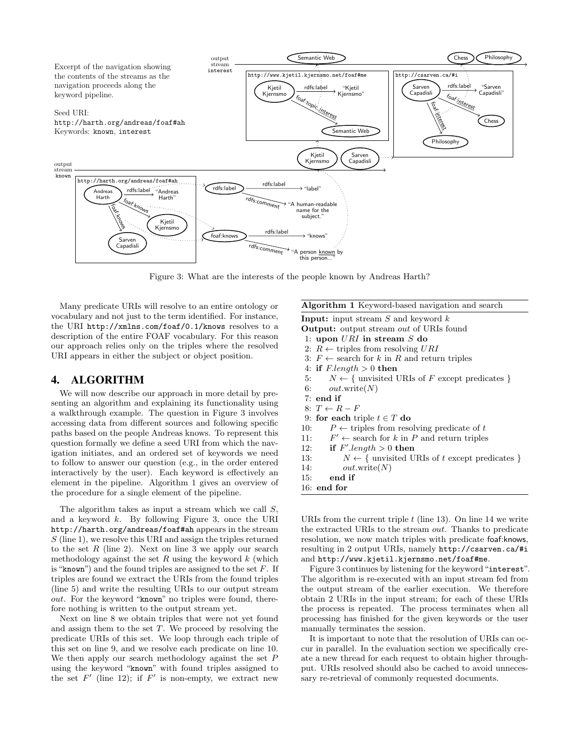<span id="page-2-1"></span>

Figure 3: What are the interests of the people known by Andreas Harth?

Many predicate URIs will resolve to an entire ontology or vocabulary and not just to the term identified. For instance, the URI <http://xmlns.com/foaf/0.1/knows> resolves to a description of the entire FOAF vocabulary. For this reason our approach relies only on the triples where the resolved URI appears in either the subject or object position.

#### <span id="page-2-0"></span>4. ALGORITHM

We will now describe our approach in more detail by presenting an algorithm and explaining its functionality using a walkthrough example. The question in Figure [3](#page-2-1) involves accessing data from different sources and following specific paths based on the people Andreas knows. To represent this question formally we define a seed URI from which the navigation initiates, and an ordered set of keywords we need to follow to answer our question (e.g., in the order entered interactively by the user). Each keyword is effectively an element in the pipeline. Algorithm [1](#page-2-2) gives an overview of the procedure for a single element of the pipeline.

The algorithm takes as input a stream which we call S, and a keyword  $k$ . By following Figure [3,](#page-2-1) once the URI <http://harth.org/andreas/foaf#ah> appears in the stream S (line 1), we resolve this URI and assign the triples returned to the set  $R$  (line 2). Next on line 3 we apply our search methodology against the set  $R$  using the keyword  $k$  (which is "known") and the found triples are assigned to the set  $F$ . If triples are found we extract the URIs from the found triples (line 5) and write the resulting URIs to our output stream out. For the keyword "known" no triples were found, therefore nothing is written to the output stream yet.

Next on line 8 we obtain triples that were not yet found and assign them to the set  $T$ . We proceed by resolving the predicate URIs of this set. We loop through each triple of this set on line 9, and we resolve each predicate on line 10. We then apply our search methodology against the set  $P$ using the keyword "known" with found triples assigned to the set  $F'$  (line 12); if  $F'$  is non-empty, we extract new

| <b>Input:</b> input stream S and keyword $k$                     |
|------------------------------------------------------------------|
| <b>Output:</b> output stream <i>out</i> of URIs found            |
| 1: upon $URI$ in stream S do                                     |
| 2: $R \leftarrow$ triples from resolving URI                     |
| 3: $F \leftarrow$ search for k in R and return triples           |
| 4: if $F.length > 0$ then                                        |
| 5: $N \leftarrow \{$ unvisited URIs of F except predicates $\}$  |
| 6: $out.write(N)$                                                |
| $7:$ end if                                                      |
| $8: T \leftarrow R - F$                                          |
| 9: for each triple $t \in T$ do                                  |
| $P \leftarrow$ triples from resolving predicate of t<br>10:      |
| 11: $F' \leftarrow$ search for k in P and return triples         |
| 12: if $F'$ length $> 0$ then                                    |
| $N \leftarrow \{$ unvisited URIs of t except predicates }<br>13: |
| 14:<br>out.write(N)                                              |
| end if<br>15:                                                    |
| $16:$ end for                                                    |
|                                                                  |
|                                                                  |

<span id="page-2-2"></span>Algorithm 1 Keyword-based navigation and search

URIs from the current triple  $t$  (line 13). On line 14 we write the extracted URIs to the stream out. Thanks to predicate resolution, we now match triples with predicate foaf:knows, resulting in 2 output URIs, namely <http://csarven.ca/#i> and <http://www.kjetil.kjernsmo.net/foaf#me>.

Figure [3](#page-2-1) continues by listening for the keyword "interest". The algorithm is re-executed with an input stream fed from the output stream of the earlier execution. We therefore obtain 2 URIs in the input stream; for each of these URIs the process is repeated. The process terminates when all processing has finished for the given keywords or the user manually terminates the session.

It is important to note that the resolution of URIs can occur in parallel. In the evaluation section we specifically create a new thread for each request to obtain higher throughput. URIs resolved should also be cached to avoid unnecessary re-retrieval of commonly requested documents.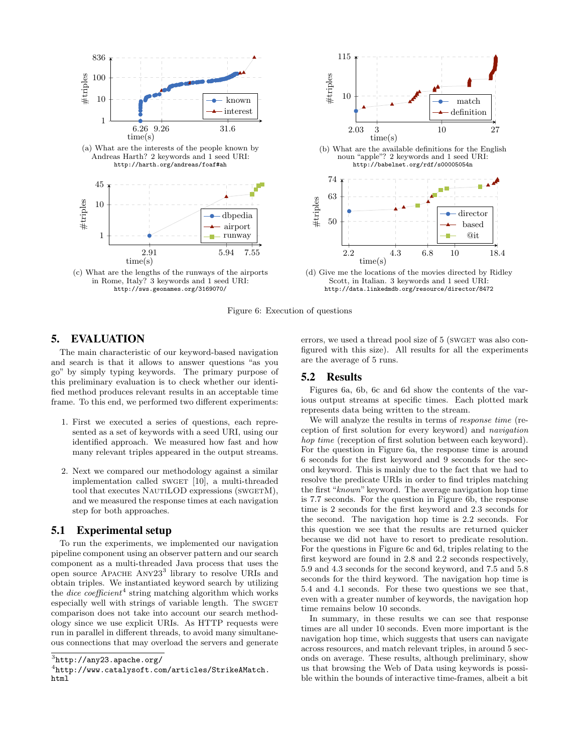<span id="page-3-3"></span>

![](_page_3_Figure_1.jpeg)

Scott, in Italian. 3 keywords and 1 seed URI: <http://data.linkedmdb.org/resource/director/8472>

Figure 6: Execution of questions

#### <span id="page-3-0"></span>5. EVALUATION

The main characteristic of our keyword-based navigation and search is that it allows to answer questions "as you go" by simply typing keywords. The primary purpose of this preliminary evaluation is to check whether our identified method produces relevant results in an acceptable time frame. To this end, we performed two different experiments:

- 1. First we executed a series of questions, each represented as a set of keywords with a seed URI, using our identified approach. We measured how fast and how many relevant triples appeared in the output streams.
- 2. Next we compared our methodology against a similar implementation called SWGET [\[10\]](#page-4-10), a multi-threaded tool that executes NAUTILOD expressions (SWGETM), and we measured the response times at each navigation step for both approaches.

#### 5.1 Experimental setup

To run the experiments, we implemented our navigation pipeline component using an observer pattern and our search component as a multi-threaded Java process that uses the open source APACHE ANY2[3](#page-3-1)<sup>3</sup> library to resolve URIs and obtain triples. We instantiated keyword search by utilizing the *dice coefficient*<sup>[4](#page-3-2)</sup> string matching algorithm which works especially well with strings of variable length. The SWGET comparison does not take into account our search methodology since we use explicit URIs. As HTTP requests were run in parallel in different threads, to avoid many simultaneous connections that may overload the servers and generate errors, we used a thread pool size of 5 (SWGET was also configured with this size). All results for all the experiments are the average of 5 runs.

#### 5.2 Results

Figures [6a, 6b, 6c](#page-3-3) and [6d](#page-3-3) show the contents of the various output streams at specific times. Each plotted mark represents data being written to the stream.

We will analyze the results in terms of *response time* (reception of first solution for every keyword) and navigation hop time (reception of first solution between each keyword). For the question in Figure [6a,](#page-3-3) the response time is around 6 seconds for the first keyword and 9 seconds for the second keyword. This is mainly due to the fact that we had to resolve the predicate URIs in order to find triples matching the first "known" keyword. The average navigation hop time is 7.7 seconds. For the question in Figure [6b,](#page-3-3) the response time is 2 seconds for the first keyword and 2.3 seconds for the second. The navigation hop time is 2.2 seconds. For this question we see that the results are returned quicker because we did not have to resort to predicate resolution. For the questions in Figure [6c](#page-3-3) and [6d,](#page-3-3) triples relating to the first keyword are found in 2.8 and 2.2 seconds respectively, 5.9 and 4.3 seconds for the second keyword, and 7.5 and 5.8 seconds for the third keyword. The navigation hop time is 5.4 and 4.1 seconds. For these two questions we see that, even with a greater number of keywords, the navigation hop time remains below 10 seconds.

In summary, in these results we can see that response times are all under 10 seconds. Even more important is the navigation hop time, which suggests that users can navigate across resources, and match relevant triples, in around 5 seconds on average. These results, although preliminary, show us that browsing the Web of Data using keywords is possible within the bounds of interactive time-frames, albeit a bit

<span id="page-3-1"></span> $^3$ http://any $23$ .apache.org/

<span id="page-3-2"></span><sup>4</sup> [http://www.catalysoft.com/articles/StrikeAMatch.](http://www.catalysoft.com/articles/StrikeAMatch.html) [html](http://www.catalysoft.com/articles/StrikeAMatch.html)